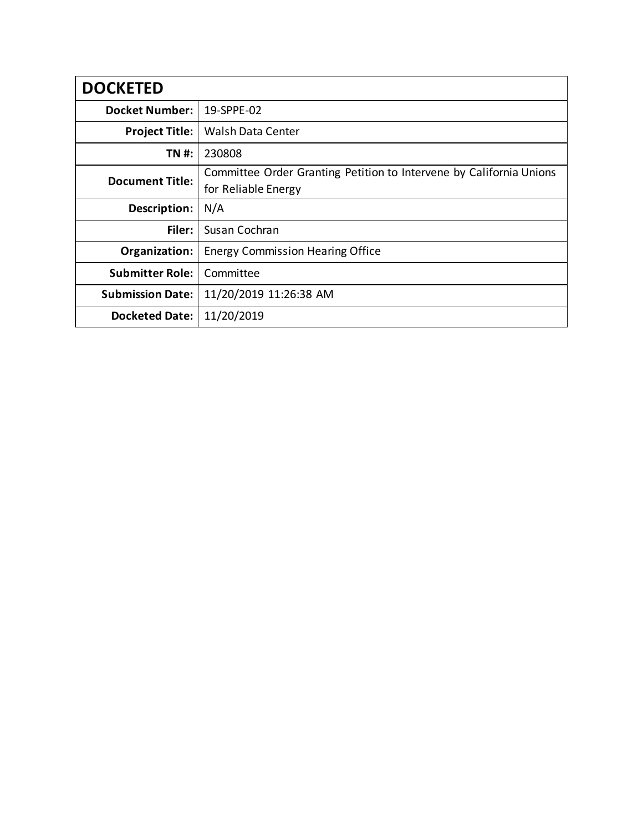| <b>DOCKETED</b>         |                                                                                            |
|-------------------------|--------------------------------------------------------------------------------------------|
| <b>Docket Number:</b>   | 19-SPPE-02                                                                                 |
| <b>Project Title:</b>   | <b>Walsh Data Center</b>                                                                   |
| TN #:                   | 230808                                                                                     |
| <b>Document Title:</b>  | Committee Order Granting Petition to Intervene by California Unions<br>for Reliable Energy |
| Description:            | N/A                                                                                        |
| Filer:                  | Susan Cochran                                                                              |
| Organization:           | <b>Energy Commission Hearing Office</b>                                                    |
| <b>Submitter Role:</b>  | Committee                                                                                  |
| <b>Submission Date:</b> | 11/20/2019 11:26:38 AM                                                                     |
| <b>Docketed Date:</b>   | 11/20/2019                                                                                 |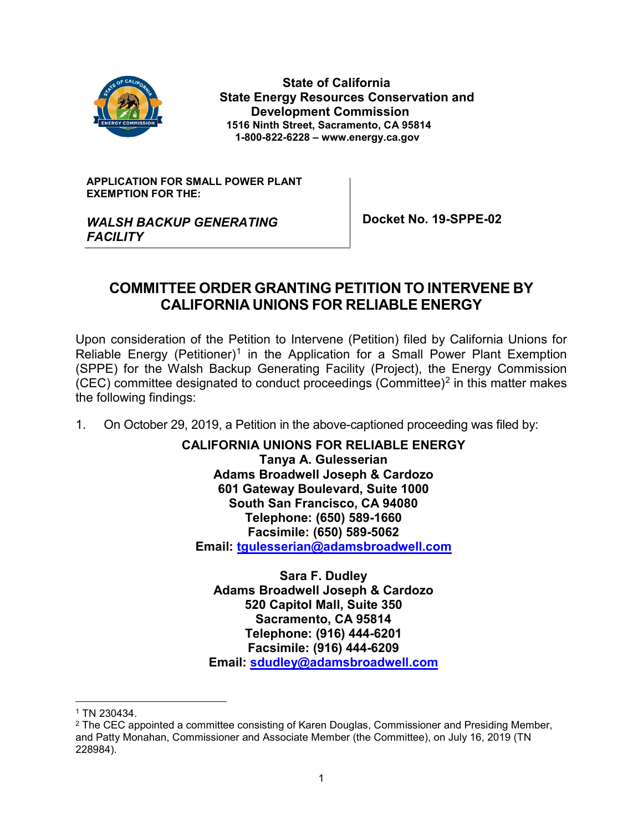

 **State of California State Energy Resources Conservation and Development Commission 1516 Ninth Street, Sacramento, CA 95814 1-800-822-6228 – www.energy.ca.gov**

**APPLICATION FOR SMALL POWER PLANT EXEMPTION FOR THE:**

**Docket No. 19-SPPE-02**

### *WALSH BACKUP GENERATING FACILITY*

# **COMMITTEE ORDER GRANTING PETITION TO INTERVENE BY CALIFORNIA UNIONS FOR RELIABLE ENERGY**

Upon consideration of the Petition to Intervene (Petition) filed by California Unions for Reliable Energy (Petitioner)<sup>[1](#page-1-0)</sup> in the Application for a Small Power Plant Exemption (SPPE) for the Walsh Backup Generating Facility (Project), the Energy Commission  $(CEC)$  committee designated to conduct proceedings  $(Committee)^2$  $(Committee)^2$  in this matter makes the following findings:

1. On October 29, 2019, a Petition in the above-captioned proceeding was filed by:

**CALIFORNIA UNIONS FOR RELIABLE ENERGY Tanya A. Gulesserian Adams Broadwell Joseph & Cardozo 601 Gateway Boulevard, Suite 1000 South San Francisco, CA 94080 Telephone: (650) 589-1660 Facsimile: (650) 589-5062 Email: [tgulesserian@adamsbroadwell.com](mailto:tgulesserian@adamsbroadwell.com)**

**Sara F. Dudley Adams Broadwell Joseph & Cardozo 520 Capitol Mall, Suite 350 Sacramento, CA 95814 Telephone: (916) 444-6201 Facsimile: (916) 444-6209 Email: [sdudley@adamsbroadwell.com](mailto:sdudley@adamsbroadwell.com)**

1 TN 230434.

<span id="page-1-1"></span><span id="page-1-0"></span><sup>&</sup>lt;sup>2</sup> The CEC appointed a committee consisting of Karen Douglas, Commissioner and Presiding Member, and Patty Monahan, Commissioner and Associate Member (the Committee), on July 16, 2019 (TN 228984).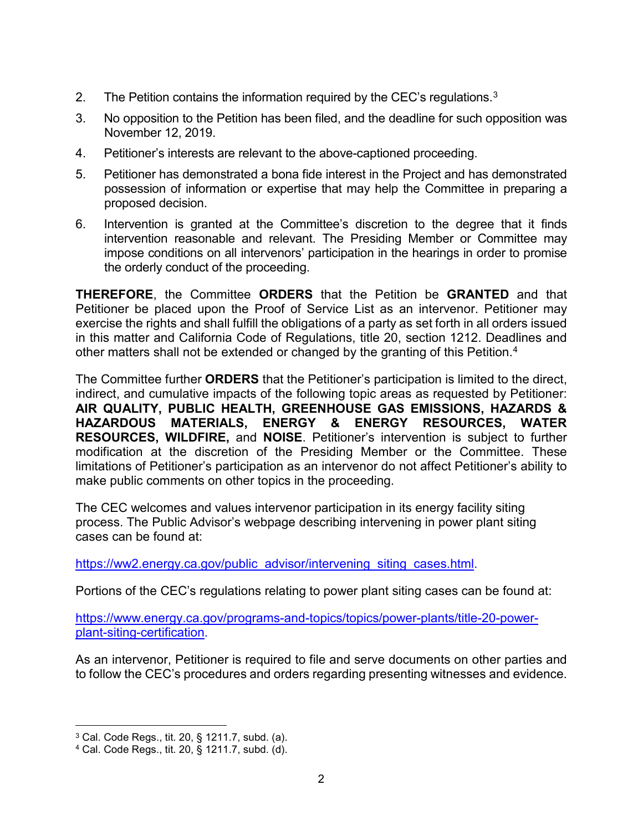- 2. The Petition contains the information required by the CEC's regulations.<sup>[3](#page-2-0)</sup>
- 3. No opposition to the Petition has been filed, and the deadline for such opposition was November 12, 2019.
- 4. Petitioner's interests are relevant to the above-captioned proceeding.
- 5. Petitioner has demonstrated a bona fide interest in the Project and has demonstrated possession of information or expertise that may help the Committee in preparing a proposed decision.
- 6. Intervention is granted at the Committee's discretion to the degree that it finds intervention reasonable and relevant. The Presiding Member or Committee may impose conditions on all intervenors' participation in the hearings in order to promise the orderly conduct of the proceeding.

**THEREFORE**, the Committee **ORDERS** that the Petition be **GRANTED** and that Petitioner be placed upon the Proof of Service List as an intervenor. Petitioner may exercise the rights and shall fulfill the obligations of a party as set forth in all orders issued in this matter and California Code of Regulations, title 20, section 1212. Deadlines and other matters shall not be extended or changed by the granting of this Petition.<sup>[4](#page-2-1)</sup>

The Committee further **ORDERS** that the Petitioner's participation is limited to the direct, indirect, and cumulative impacts of the following topic areas as requested by Petitioner: **AIR QUALITY, PUBLIC HEALTH, GREENHOUSE GAS EMISSIONS, HAZARDS & HAZARDOUS MATERIALS, ENERGY & ENERGY RESOURCES, WATER RESOURCES, WILDFIRE,** and **NOISE**. Petitioner's intervention is subject to further modification at the discretion of the Presiding Member or the Committee. These limitations of Petitioner's participation as an intervenor do not affect Petitioner's ability to make public comments on other topics in the proceeding.

The CEC welcomes and values intervenor participation in its energy facility siting process. The Public Advisor's webpage describing intervening in power plant siting cases can be found at:

[https://ww2.energy.ca.gov/public\\_advisor/intervening\\_siting\\_cases.html.](https://ww2.energy.ca.gov/public_advisor/intervening_siting_cases.html)

Portions of the CEC's regulations relating to power plant siting cases can be found at:

[https://www.energy.ca.gov/programs-and-topics/topics/power-plants/title-20-power](https://www.energy.ca.gov/programs-and-topics/topics/power-plants/title-20-power-plant-siting-certification)[plant-siting-certification.](https://www.energy.ca.gov/programs-and-topics/topics/power-plants/title-20-power-plant-siting-certification)

As an intervenor, Petitioner is required to file and serve documents on other parties and to follow the CEC's procedures and orders regarding presenting witnesses and evidence.

<span id="page-2-0"></span> <sup>3</sup> Cal. Code Regs., tit. 20, § 1211.7, subd. (a).

<span id="page-2-1"></span><sup>4</sup> Cal. Code Regs., tit. 20, § 1211.7, subd. (d).